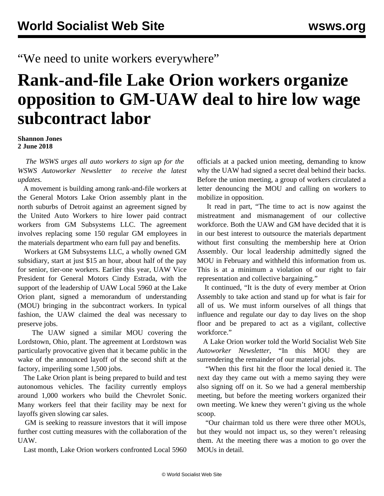"We need to unite workers everywhere"

## **Rank-and-file Lake Orion workers organize opposition to GM-UAW deal to hire low wage subcontract labor**

**Shannon Jones 2 June 2018**

 *The WSWS urges all auto workers to sign up for the [WSWS Autoworker Newsletter](https://tools.wsws.org/wsws/forms/autoworker-newsletter.html) to receive the latest updates.*

 A movement is building among rank-and-file workers at the General Motors Lake Orion assembly plant in the north suburbs of Detroit against an agreement signed by the United Auto Workers to hire lower paid contract workers from GM Subsystems LLC. The agreement involves replacing some 150 regular GM employees in the materials department who earn full pay and benefits.

 Workers at GM Subsystems LLC, a wholly owned GM subsidiary, start at just \$15 an hour, about half of the pay for senior, tier-one workers. Earlier this year, UAW Vice President for General Motors Cindy Estrada, with the support of the leadership of UAW Local 5960 at the Lake Orion plant, signed a memorandum of understanding (MOU) bringing in the subcontract workers. In typical fashion, the UAW claimed the deal was necessary to preserve jobs.

 The UAW signed a similar MOU covering the Lordstown, Ohio, plant. The agreement at Lordstown was particularly provocative given that it became public in the wake of the announced layoff of the second shift at the factory, imperiling some 1,500 jobs.

 The Lake Orion plant is being prepared to build and test autonomous vehicles. The facility currently employs around 1,000 workers who build the Chevrolet Sonic. Many workers feel that their facility may be next for layoffs given slowing car sales.

 GM is seeking to reassure investors that it will impose further cost cutting measures with the collaboration of the **UAW** 

Last month, Lake Orion workers confronted Local 5960

officials at a packed union meeting, demanding to know why the UAW had signed a secret deal behind their backs. Before the union meeting, a group of workers circulated a letter denouncing the MOU and calling on workers to mobilize in opposition.

 It read in part, "The time to act is now against the mistreatment and mismanagement of our collective workforce. Both the UAW and GM have decided that it is in our best interest to outsource the materials department without first consulting the membership here at Orion Assembly. Our local leadership admittedly signed the MOU in February and withheld this information from us. This is at a minimum a violation of our right to fair representation and collective bargaining."

 It continued, "It is the duty of every member at Orion Assembly to take action and stand up for what is fair for all of us. We must inform ourselves of all things that influence and regulate our day to day lives on the shop floor and be prepared to act as a vigilant, collective workforce."

 A Lake Orion worker told the World Socialist Web Site *Autoworker Newsletter*, "In this MOU they are surrendering the remainder of our material jobs.

 "When this first hit the floor the local denied it. The next day they came out with a memo saying they were also signing off on it. So we had a general membership meeting, but before the meeting workers organized their own meeting. We knew they weren't giving us the whole scoop.

 "Our chairman told us there were three other MOUs, but they would not impact us, so they weren't releasing them. At the meeting there was a motion to go over the MOUs in detail